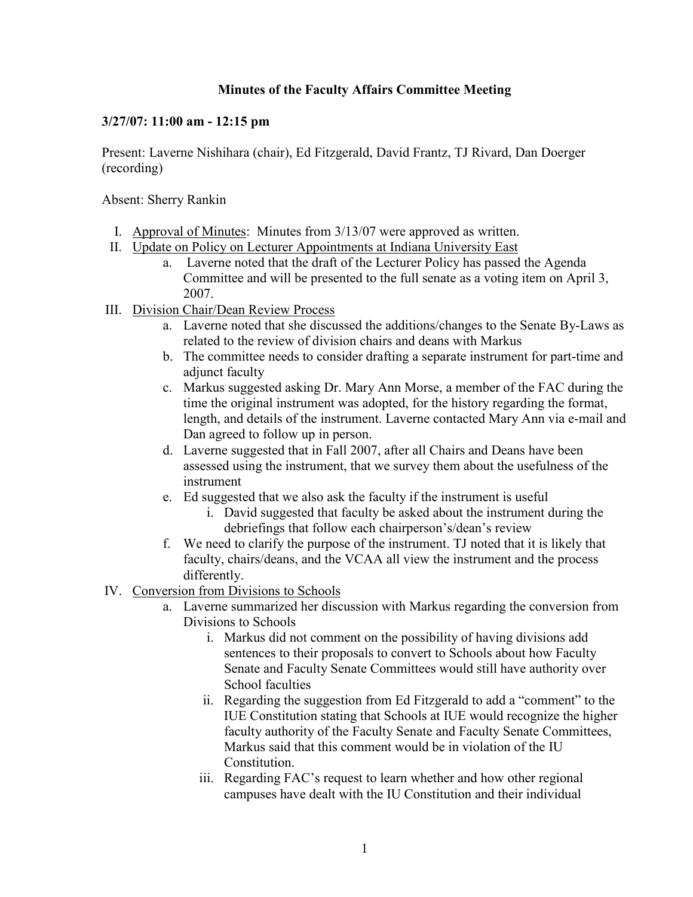## **Minutes of the Faculty Affairs Committee Meeting**

## **3/27/07: 11:00 am - 12:15 pm**

Present: Laverne Nishihara (chair), Ed Fitzgerald, David Frantz, TJ Rivard, Dan Doerger (recording)

Absent: Sherry Rankin

- I. Approval of Minutes: Minutes from 3/13/07 were approved as written.
- II. Update on Policy on Lecturer Appointments at Indiana University East
	- a. Laverne noted that the draft of the Lecturer Policy has passed the Agenda Committee and will be presented to the full senate as a voting item on April 3, 2007.
- III. Division Chair/Dean Review Process
	- a. Laverne noted that she discussed the additions/changes to the Senate By-Laws as related to the review of division chairs and deans with Markus
	- b. The committee needs to consider drafting a separate instrument for part-time and adjunct faculty
	- c. Markus suggested asking Dr. Mary Ann Morse, a member of the FAC during the time the original instrument was adopted, for the history regarding the format, length, and details of the instrument. Laverne contacted Mary Ann via e-mail and Dan agreed to follow up in person.
	- d. Laverne suggested that in Fall 2007, after all Chairs and Deans have been assessed using the instrument, that we survey them about the usefulness of the instrument
	- e. Ed suggested that we also ask the faculty if the instrument is useful
		- i. David suggested that faculty be asked about the instrument during the debriefings that follow each chairperson's/dean's review
	- f. We need to clarify the purpose of the instrument. TJ noted that it is likely that faculty, chairs/deans, and the VCAA all view the instrument and the process differently.
- IV. Conversion from Divisions to Schools
	- a. Laverne summarized her discussion with Markus regarding the conversion from Divisions to Schools
		- i. Markus did not comment on the possibility of having divisions add sentences to their proposals to convert to Schools about how Faculty Senate and Faculty Senate Committees would still have authority over School faculties
		- ii. Regarding the suggestion from Ed Fitzgerald to add a "comment" to the IUE Constitution stating that Schools at IUE would recognize the higher faculty authority of the Faculty Senate and Faculty Senate Committees, Markus said that this comment would be in violation of the IU Constitution.
		- iii. Regarding FAC's request to learn whether and how other regional campuses have dealt with the IU Constitution and their individual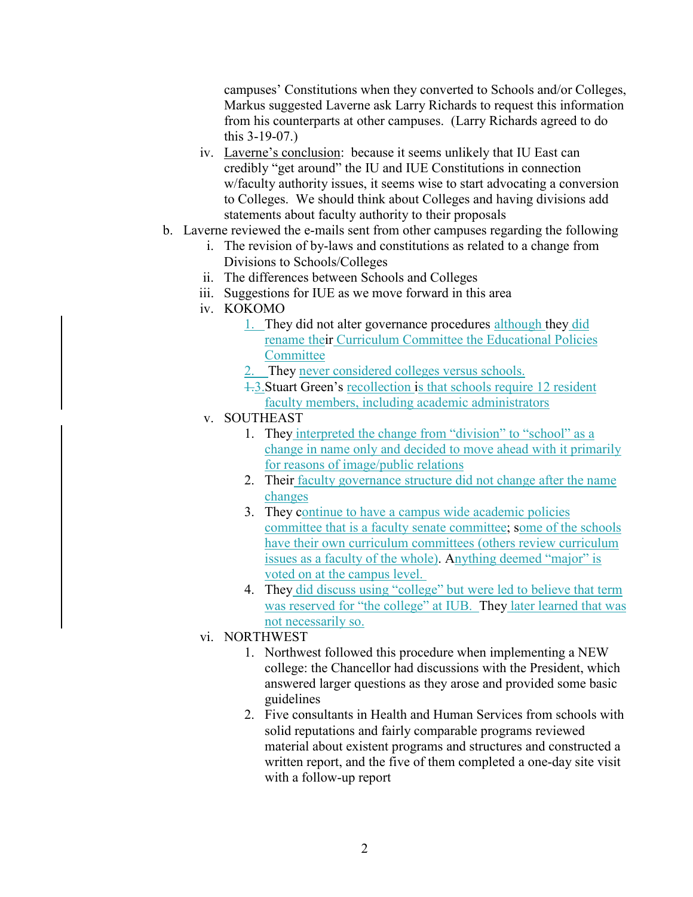campuses' Constitutions when they converted to Schools and/or Colleges, Markus suggested Laverne ask Larry Richards to request this information from his counterparts at other campuses. (Larry Richards agreed to do this 3-19-07.)

- iv. Laverne's conclusion: because it seems unlikely that IU East can credibly "get around" the IU and IUE Constitutions in connection w/faculty authority issues, it seems wise to start advocating a conversion to Colleges. We should think about Colleges and having divisions add statements about faculty authority to their proposals
- b. Laverne reviewed the e-mails sent from other campuses regarding the following
	- i. The revision of by-laws and constitutions as related to a change from Divisions to Schools/Colleges
	- ii. The differences between Schools and Colleges
	- iii. Suggestions for IUE as we move forward in this area
	- iv. KOKOMO
		- 1. They did not alter governance procedures although they did rename their Curriculum Committee the Educational Policies **Committee**
		- They never considered colleges versus schools.
		- 1.3.Stuart Green's recollection is that schools require 12 resident faculty members, including academic administrators
	- v. SOUTHEAST
		- 1. They interpreted the change from "division" to "school" as a change in name only and decided to move ahead with it primarily for reasons of image/public relations
		- 2. Their faculty governance structure did not change after the name changes
		- 3. They continue to have a campus wide academic policies committee that is a faculty senate committee; some of the schools have their own curriculum committees (others review curriculum issues as a faculty of the whole). Anything deemed "major" is voted on at the campus level.
		- 4. They did discuss using "college" but were led to believe that term was reserved for "the college" at IUB. They later learned that was not necessarily so.
	- vi. NORTHWEST
		- 1. Northwest followed this procedure when implementing a NEW college: the Chancellor had discussions with the President, which answered larger questions as they arose and provided some basic guidelines
		- 2. Five consultants in Health and Human Services from schools with solid reputations and fairly comparable programs reviewed material about existent programs and structures and constructed a written report, and the five of them completed a one-day site visit with a follow-up report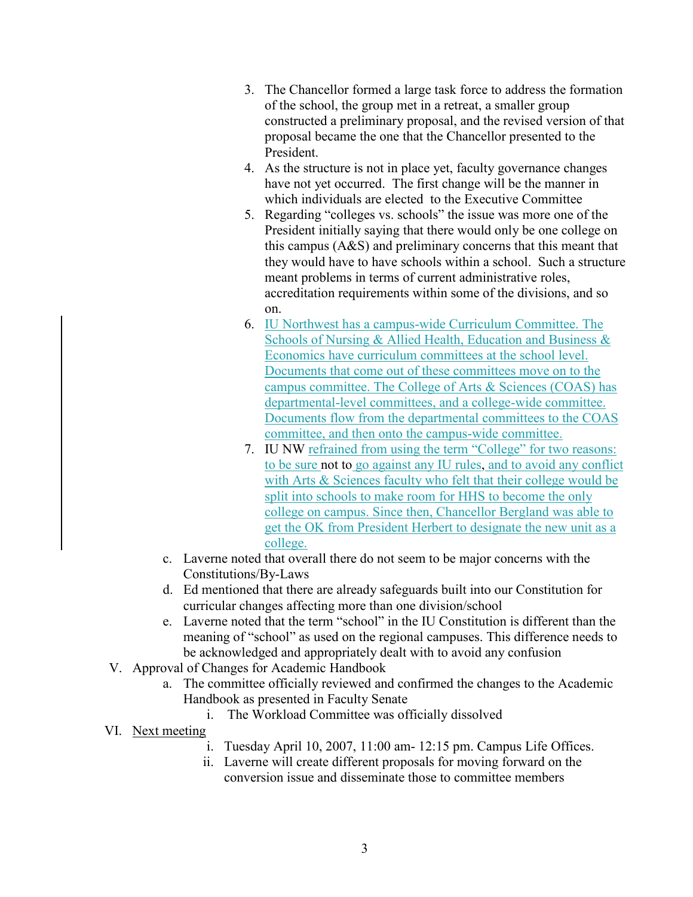- 3. The Chancellor formed a large task force to address the formation of the school, the group met in a retreat, a smaller group constructed a preliminary proposal, and the revised version of that proposal became the one that the Chancellor presented to the President.
- 4. As the structure is not in place yet, faculty governance changes have not yet occurred. The first change will be the manner in which individuals are elected to the Executive Committee
- 5. Regarding "colleges vs. schools" the issue was more one of the President initially saying that there would only be one college on this campus (A&S) and preliminary concerns that this meant that they would have to have schools within a school. Such a structure meant problems in terms of current administrative roles, accreditation requirements within some of the divisions, and so on.
- 6. IU Northwest has a campus-wide Curriculum Committee. The Schools of Nursing & Allied Health, Education and Business & Economics have curriculum committees at the school level. Documents that come out of these committees move on to the campus committee. The College of Arts & Sciences (COAS) has departmental-level committees, and a college-wide committee. Documents flow from the departmental committees to the COAS committee, and then onto the campus-wide committee.
- 7. IU NW refrained from using the term "College" for two reasons: to be sure not to go against any IU rules, and to avoid any conflict with Arts & Sciences faculty who felt that their college would be split into schools to make room for HHS to become the only college on campus. Since then, Chancellor Bergland was able to get the OK from President Herbert to designate the new unit as a college.
- c. Laverne noted that overall there do not seem to be major concerns with the Constitutions/By-Laws
- d. Ed mentioned that there are already safeguards built into our Constitution for curricular changes affecting more than one division/school
- e. Laverne noted that the term "school" in the IU Constitution is different than the meaning of "school" as used on the regional campuses. This difference needs to be acknowledged and appropriately dealt with to avoid any confusion
- V. Approval of Changes for Academic Handbook
	- a. The committee officially reviewed and confirmed the changes to the Academic Handbook as presented in Faculty Senate
		- i. The Workload Committee was officially dissolved
- VI. Next meeting
	- i. Tuesday April 10, 2007, 11:00 am- 12:15 pm. Campus Life Offices.
	- ii. Laverne will create different proposals for moving forward on the conversion issue and disseminate those to committee members